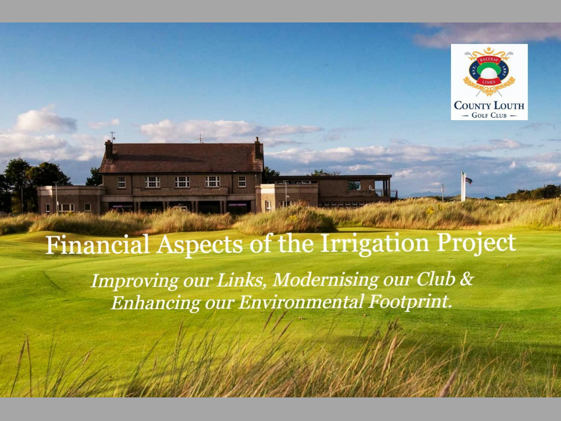

## **Financial Aspects of the Irrigation Project**

H

H

圈

 $\blacksquare$ 

Improving our Links, Modernising our Club & Enhancing our Environmental Footprint.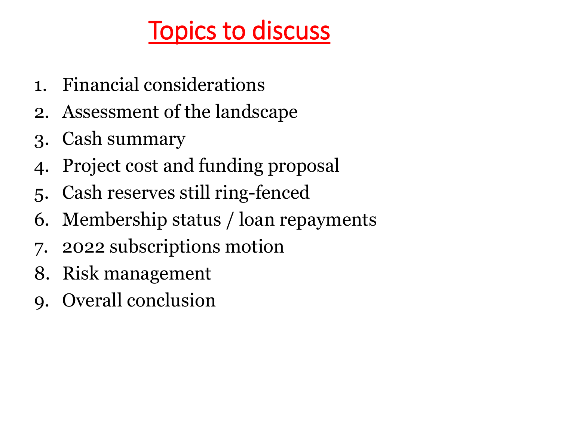# Topics to discuss

- 1. Financial considerations
- 2. Assessment of the landscape
- 3. Cash summary
- 4. Project cost and funding proposal
- 5. Cash reserves still ring-fenced
- 6. Membership status / loan repayments
- 7. 2022 subscriptions motion
- 8. Risk management
- 9. Overall conclusion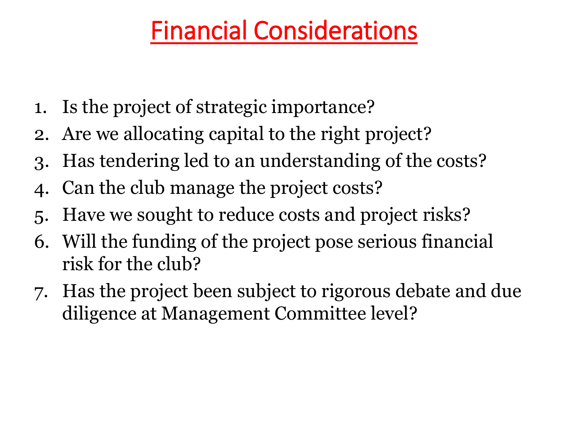# Financial Considerations

- 1. Is the project of strategic importance?
- 2. Are we allocating capital to the right project?
- 3. Has tendering led to an understanding of the costs?
- 4. Can the club manage the project costs?
- 5. Have we sought to reduce costs and project risks?
- 6. Will the funding of the project pose serious financial risk for the club?
- 7. Has the project been subject to rigorous debate and due diligence at Management Committee level?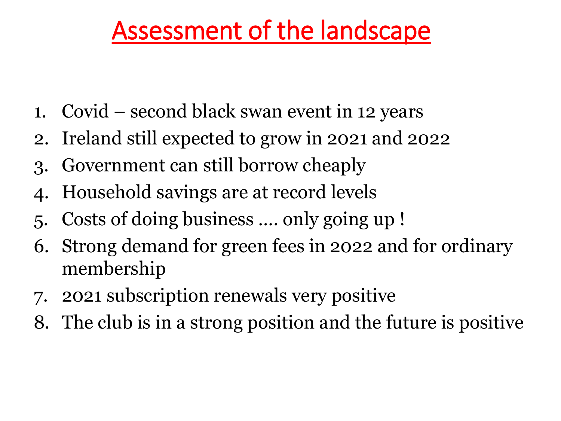# Assessment of the landscape

- 1. Covid second black swan event in 12 years
- 2. Ireland still expected to grow in 2021 and 2022
- 3. Government can still borrow cheaply
- 4. Household savings are at record levels
- 5. Costs of doing business …. only going up !
- 6. Strong demand for green fees in 2022 and for ordinary membership
- 7. 2021 subscription renewals very positive
- 8. The club is in a strong position and the future is positive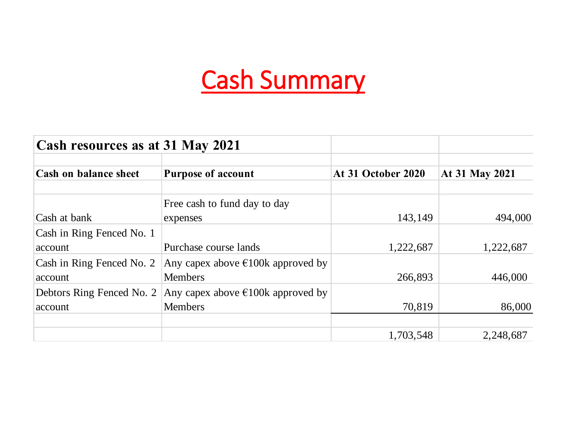# Cash Summary

| Cash resources as at 31 May 2021 |                                             |                    |                       |  |
|----------------------------------|---------------------------------------------|--------------------|-----------------------|--|
| <b>Cash on balance sheet</b>     | <b>Purpose of account</b>                   | At 31 October 2020 | <b>At 31 May 2021</b> |  |
|                                  | Free cash to fund day to day                |                    |                       |  |
| Cash at bank                     | expenses                                    | 143,149            | 494,000               |  |
| Cash in Ring Fenced No. 1        |                                             |                    |                       |  |
| account                          | Purchase course lands                       | 1,222,687          | 1,222,687             |  |
| Cash in Ring Fenced No. 2        | Any capex above $\epsilon$ 100k approved by |                    |                       |  |
| account                          | <b>Members</b>                              | 266,893            | 446,000               |  |
| Debtors Ring Fenced No. 2        | Any capex above $\epsilon$ 100k approved by |                    |                       |  |
| account                          | <b>Members</b>                              | 70,819             | 86,000                |  |
|                                  |                                             |                    |                       |  |
|                                  |                                             | 1,703,548          | 2,248,687             |  |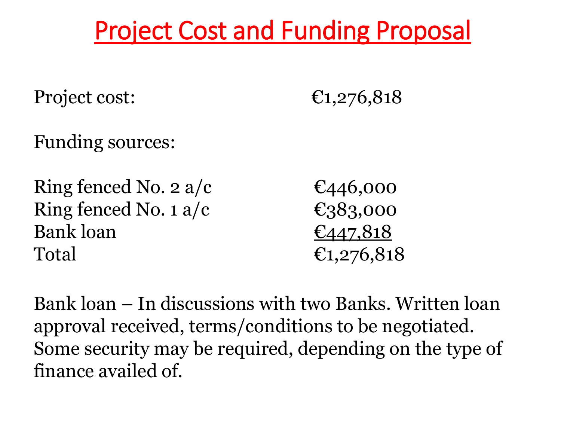# Project Cost and Funding Proposal

Project cost:  $\epsilon_{1,276,818}$ 

Funding sources:

Ring fenced No. 2 a/c  $\epsilon$   $\epsilon$ 446,000 Ring fenced No. 1 a/c  $\epsilon$ 383,000 Bank loan  $\epsilon_{447,818}$ Total  $\epsilon_{1,276,818}$ 

Bank loan – In discussions with two Banks. Written loan approval received, terms/conditions to be negotiated. Some security may be required, depending on the type of finance availed of.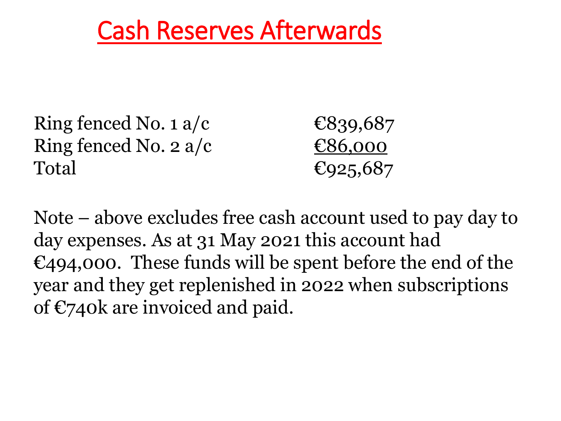## Cash Reserves Afterwards

Ring fenced No. 1 a/c  $\epsilon$ 839,687 Ring fenced No. 2 a/c  $\epsilon$ 86,000 Total  $\epsilon_{925,687}$ 

Note – above excludes free cash account used to pay day to day expenses. As at 31 May 2021 this account had  $\epsilon$ 494,000. These funds will be spent before the end of the year and they get replenished in 2022 when subscriptions of €740k are invoiced and paid.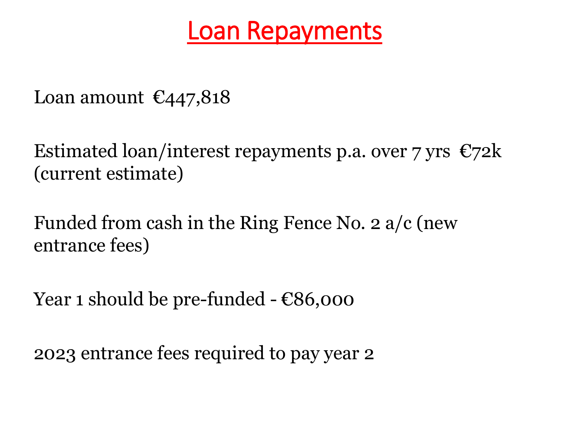#### Loan Repayments

Loan amount  $\epsilon$ 447,818

Estimated loan/interest repayments p.a. over 7 yrs  $\epsilon$ 72k (current estimate)

Funded from cash in the Ring Fence No. 2 a/c (new entrance fees)

Year 1 should be pre-funded  $E86,000$ 

2023 entrance fees required to pay year 2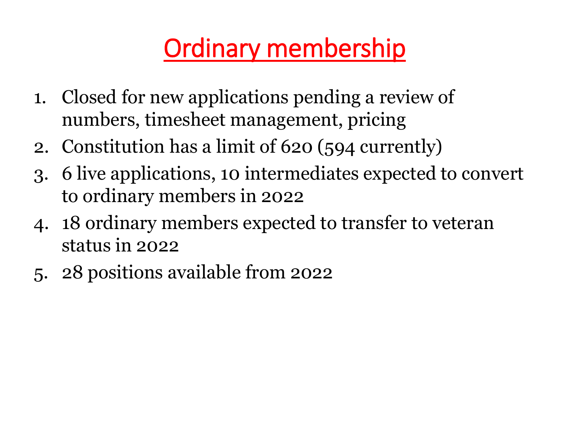# Ordinary membership

- 1. Closed for new applications pending a review of numbers, timesheet management, pricing
- 2. Constitution has a limit of 620 (594 currently)
- 3. 6 live applications, 10 intermediates expected to convert to ordinary members in 2022
- 4. 18 ordinary members expected to transfer to veteran status in 2022
- 5. 28 positions available from 2022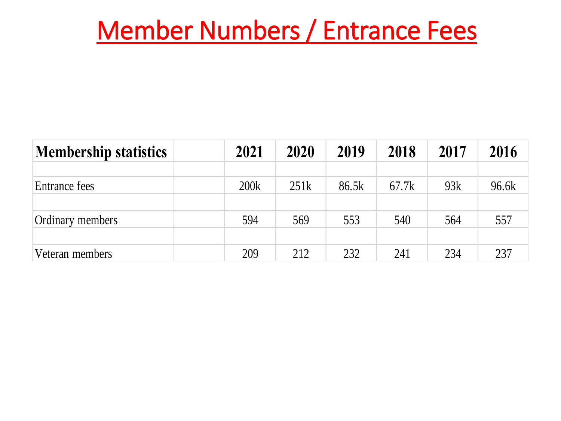## Member Numbers / Entrance Fees

| <b>Membership statistics</b> | 2021 | 2020 | 2019  | 2018  | 2017 | 2016  |
|------------------------------|------|------|-------|-------|------|-------|
|                              |      |      |       |       |      |       |
| Entrance fees                | 200k | 251k | 86.5k | 67.7k | 93k  | 96.6k |
|                              |      |      |       |       |      |       |
| <b>Ordinary members</b>      | 594  | 569  | 553   | 540   | 564  | 557   |
|                              |      |      |       |       |      |       |
| Veteran members              | 209  | 212  | 232   | 241   | 234  | 237   |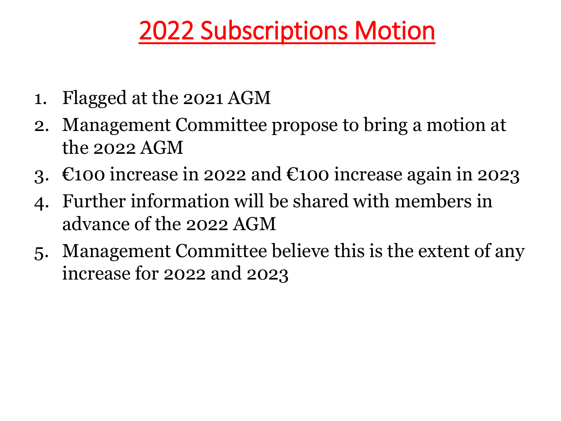# 2022 Subscriptions Motion

- 1. Flagged at the 2021 AGM
- 2. Management Committee propose to bring a motion at the 2022  $AGM$
- 3.  $\epsilon$ 100 increase in 2022 and  $\epsilon$ 100 increase again in 2023
- 4. Further information will be shared with members in advance of the 2022 AGM
- 5. Management Committee believe this is the extent of any increase for 2022 and 2023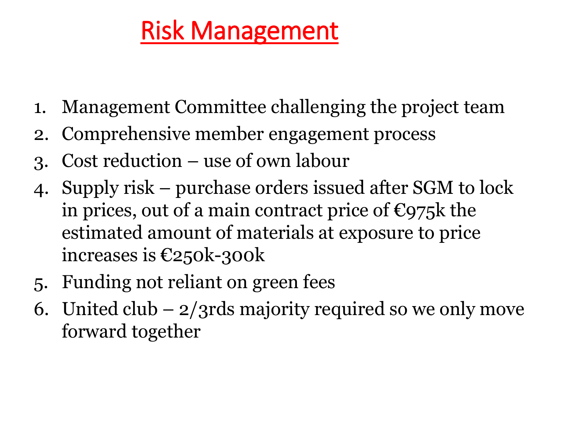# Risk Management

- 1. Management Committee challenging the project team
- 2. Comprehensive member engagement process
- 3. Cost reduction use of own labour
- 4. Supply risk purchase orders issued after SGM to lock in prices, out of a main contract price of  $\epsilon$ 975k the estimated amount of materials at exposure to price increases is €250k-300k
- 5. Funding not reliant on green fees
- 6. United club  $-2/3$ rds majority required so we only move forward together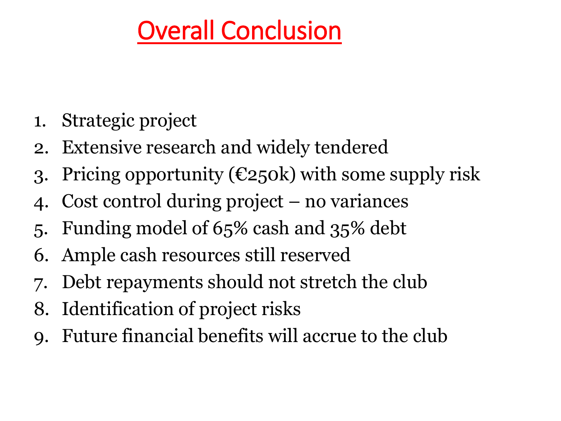# Overall Conclusion

- 1. Strategic project
- 2. Extensive research and widely tendered
- 3. Pricing opportunity ( $\epsilon$ 250k) with some supply risk
- 4. Cost control during project no variances
- 5. Funding model of 65% cash and 35% debt
- 6. Ample cash resources still reserved
- Debt repayments should not stretch the club
- 8. Identification of project risks
- 9. Future financial benefits will accrue to the club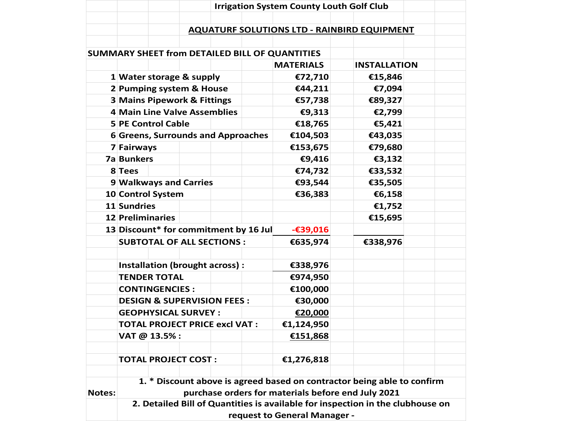|               |                                                                           | <b>Irrigation System County Louth Golf Club</b> |            |                              |                                                                                |  |  |
|---------------|---------------------------------------------------------------------------|-------------------------------------------------|------------|------------------------------|--------------------------------------------------------------------------------|--|--|
|               |                                                                           |                                                 |            |                              |                                                                                |  |  |
|               |                                                                           |                                                 |            |                              | <b>AQUATURF SOLUTIONS LTD - RAINBIRD EQUIPMENT</b>                             |  |  |
|               |                                                                           |                                                 |            |                              |                                                                                |  |  |
|               | SUMMARY SHEET from DETAILED BILL OF QUANTITIES                            |                                                 |            |                              |                                                                                |  |  |
|               |                                                                           |                                                 |            | <b>MATERIALS</b>             | <b>INSTALLATION</b>                                                            |  |  |
|               | 1 Water storage & supply                                                  |                                                 |            | €72,710                      | €15,846                                                                        |  |  |
|               | 2 Pumping system & House                                                  |                                                 |            | €44,211                      | €7,094                                                                         |  |  |
|               | <b>3 Mains Pipework &amp; Fittings</b>                                    |                                                 |            | €57,738                      | €89,327                                                                        |  |  |
|               | 4 Main Line Valve Assemblies                                              |                                                 |            | €9,313                       | €2,799                                                                         |  |  |
|               | <b>5 PE Control Cable</b>                                                 |                                                 |            | €18,765                      | €5,421                                                                         |  |  |
|               | 6 Greens, Surrounds and Approaches                                        |                                                 |            | €104,503                     | €43,035                                                                        |  |  |
|               | 7 Fairways                                                                |                                                 |            | €153,675                     | €79,680                                                                        |  |  |
|               | <b>7a Bunkers</b>                                                         |                                                 |            | €9,416                       | €3,132                                                                         |  |  |
|               | 8 Tees                                                                    |                                                 |            | €74,732                      | €33,532                                                                        |  |  |
|               | 9 Walkways and Carries                                                    |                                                 |            | €93,544                      | €35,505                                                                        |  |  |
|               | 10 Control System<br>11 Sundries                                          |                                                 |            | €36,383                      | €6,158<br>€1,752                                                               |  |  |
|               | 12 Preliminaries                                                          |                                                 |            |                              | €15,695                                                                        |  |  |
|               |                                                                           |                                                 |            | $-639,016$                   |                                                                                |  |  |
|               | 13 Discount* for commitment by 16 Jul<br><b>SUBTOTAL OF ALL SECTIONS:</b> |                                                 |            | €635,974                     | €338,976                                                                       |  |  |
|               |                                                                           |                                                 |            |                              |                                                                                |  |  |
|               | Installation (brought across) :                                           |                                                 |            | €338,976                     |                                                                                |  |  |
|               | <b>TENDER TOTAL</b>                                                       |                                                 |            | €974,950                     |                                                                                |  |  |
|               | <b>CONTINGENCIES:</b>                                                     |                                                 |            | €100,000                     |                                                                                |  |  |
|               | <b>DESIGN &amp; SUPERVISION FEES:</b>                                     |                                                 |            | €30,000                      |                                                                                |  |  |
|               | <b>GEOPHYSICAL SURVEY:</b>                                                |                                                 |            | €20,000                      |                                                                                |  |  |
|               | <b>TOTAL PROJECT PRICE excl VAT:</b>                                      |                                                 | €1,124,950 |                              |                                                                                |  |  |
|               | VAT @ 13.5%:                                                              |                                                 |            | €151,868                     |                                                                                |  |  |
|               |                                                                           |                                                 |            |                              |                                                                                |  |  |
|               | <b>TOTAL PROJECT COST:</b>                                                |                                                 |            | €1,276,818                   |                                                                                |  |  |
|               |                                                                           |                                                 |            |                              |                                                                                |  |  |
|               |                                                                           |                                                 |            |                              | 1. * Discount above is agreed based on contractor being able to confirm        |  |  |
| <b>Notes:</b> | purchase orders for materials before end July 2021                        |                                                 |            |                              |                                                                                |  |  |
|               |                                                                           |                                                 |            |                              | 2. Detailed Bill of Quantities is available for inspection in the clubhouse on |  |  |
|               |                                                                           |                                                 |            | request to General Manager - |                                                                                |  |  |